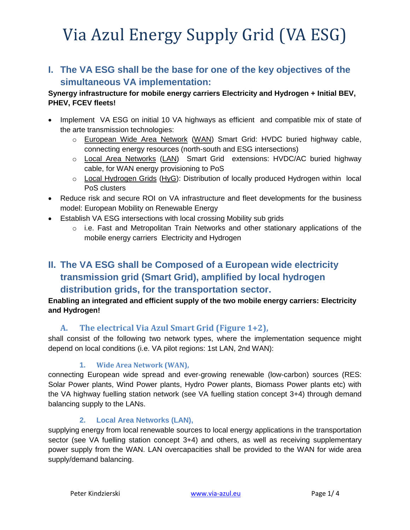**I. The VA ESG shall be the base for one of the key objectives of the simultaneous VA implementation:** 

#### **Synergy infrastructure for mobile energy carriers Electricity and Hydrogen + Initial BEV, PHEV, FCEV fleets!**

- Implement VA ESG on initial 10 VA highways as efficient and compatible mix of state of the arte transmission technologies:
	- o European Wide Area Network (WAN) Smart Grid: HVDC buried highway cable, connecting energy resources (north-south and ESG intersections)
	- o Local Area Networks (LAN) Smart Grid extensions: HVDC/AC buried highway cable, for WAN energy provisioning to PoS
	- $\circ$  Local Hydrogen Grids (HyG): Distribution of locally produced Hydrogen within local PoS clusters
- Reduce risk and secure ROI on VA infrastructure and fleet developments for the business model: European Mobility on Renewable Energy
- Establish VA ESG intersections with local crossing Mobility sub grids
	- o i.e. Fast and Metropolitan Train Networks and other stationary applications of the mobile energy carriers Electricity and Hydrogen

## **II. The VA ESG shall be Composed of a European wide electricity transmission grid (Smart Grid), amplified by local hydrogen distribution grids, for the transportation sector.**

#### **Enabling an integrated and efficient supply of the two mobile energy carriers: Electricity and Hydrogen!**

### **A. The electrical Via Azul Smart Grid [\(Figure 1+](#page-2-0)2),**

shall consist of the following two network types, where the implementation sequence might depend on local conditions (i.e. VA pilot regions: 1st LAN, 2nd WAN):

### **1. Wide Area Network (WAN),**

connecting European wide spread and ever-growing renewable (low-carbon) sources (RES: Solar Power plants, Wind Power plants, Hydro Power plants, Biomass Power plants etc) with the VA highway fuelling station network (see VA fuelling station concept 3+4) through demand balancing supply to the LANs.

#### **2. Local Area Networks (LAN),**

supplying energy from local renewable sources to local energy applications in the transportation sector (see VA fuelling station concept 3+4) and others, as well as receiving supplementary power supply from the WAN. LAN overcapacities shall be provided to the WAN for wide area supply/demand balancing.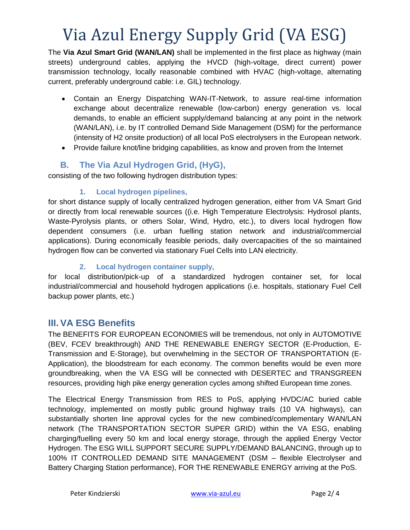The **Via Azul Smart Grid (WAN/LAN)** shall be implemented in the first place as highway (main streets) underground cables, applying the HVCD (high-voltage, direct current) power transmission technology, locally reasonable combined with HVAC (high-voltage, alternating current, preferably underground cable: i.e. GIL) technology.

- Contain an Energy Dispatching WAN-IT-Network, to assure real-time information exchange about decentralize renewable (low-carbon) energy generation vs. local demands, to enable an efficient supply/demand balancing at any point in the network (WAN/LAN), i.e. by IT controlled Demand Side Management (DSM) for the performance (intensity of H2 onsite production) of all local PoS electrolysers in the European network.
- Provide failure knot/line bridging capabilities, as know and proven from the Internet

## **B. The Via Azul Hydrogen Grid, (HyG),**

consisting of the two following hydrogen distribution types:

#### **1. Local hydrogen pipelines,**

for short distance supply of locally centralized hydrogen generation, either from VA Smart Grid or directly from local renewable sources ((i.e. High Temperature Electrolysis: Hydrosol plants, Waste-Pyrolysis plants, or others Solar, Wind, Hydro, etc.), to divers local hydrogen flow dependent consumers (i.e. urban fuelling station network and industrial/commercial applications). During economically feasible periods, daily overcapacities of the so maintained hydrogen flow can be converted via stationary Fuel Cells into LAN electricity.

#### **2. Local hydrogen container supply,**

for local distribution/pick-up of a standardized hydrogen container set, for local industrial/commercial and household hydrogen applications (i.e. hospitals, stationary Fuel Cell backup power plants, etc.)

## **III. VA ESG Benefits**

The BENEFITS FOR EUROPEAN ECONOMIES will be tremendous, not only in AUTOMOTIVE (BEV, FCEV breakthrough) AND THE RENEWABLE ENERGY SECTOR (E-Production, E-Transmission and E-Storage), but overwhelming in the SECTOR OF TRANSPORTATION (E-Application), the bloodstream for each economy. The common benefits would be even more groundbreaking, when the VA ESG will be connected with DESERTEC and TRANSGREEN resources, providing high pike energy generation cycles among shifted European time zones.

The Electrical Energy Transmission from RES to PoS, applying HVDC/AC buried cable technology, implemented on mostly public ground highway trails (10 VA highways), can substantially shorten line approval cycles for the new combined/complementary WAN/LAN network (The TRANSPORTATION SECTOR SUPER GRID) within the VA ESG, enabling charging/fuelling every 50 km and local energy storage, through the applied Energy Vector Hydrogen. The ESG WILL SUPPORT SECURE SUPPLY/DEMAND BALANCING, through up to 100% IT CONTROLLED DEMAND SITE MANAGEMENT (DSM – flexible Electrolyser and Battery Charging Station performance), FOR THE RENEWABLE ENERGY arriving at the PoS.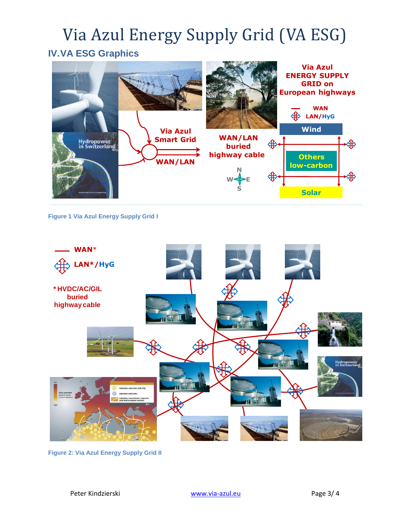## **IV.VA ESG Graphics**



**Figure 1 Via Azul Energy Supply Grid I**

<span id="page-2-0"></span>

**Figure 2: Via Azul Energy Supply Grid II**